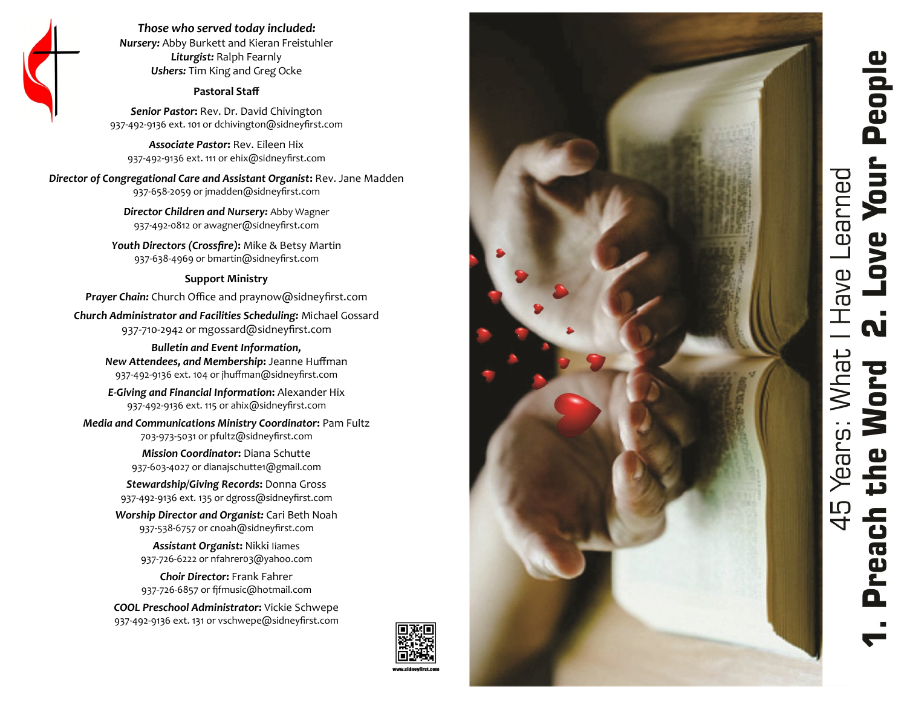# People Love Your Have Learned ี่ผ i Years: What I<br>the Word 45 neach

*Those who served today included: Nursery:* Abby Burkett and Kieran Freistuhler *Liturgist:* Ralph Fearnly *Ushers:* Tim King and Greg Ocke

#### **Pastoral Staff**

*Senior Pastor***:** Rev. Dr. David Chivington 937-492-9136 ext. 101 or dchivington@sidneyfirst.com

*Associate Pastor***:** Rev. Eileen Hix 937-492-9136 ext. 111 or ehix@sidneyfirst.com

*Director of Congregational Care and Assistant Organist***:** Rev. Jane Madden 937-658-2059 or jmadden@sidneyfirst.com

> *Director Children and Nursery:* Abby Wagner 937-492-0812 or awagner@sidneyfirst.com

*Youth Directors (Crossfire)***:** Mike & Betsy Martin 937-638-4969 or bmartin@sidneyfirst.com

#### **Support Ministry**

*Prayer Chain:* Church Office and praynow@sidneyfirst.com

*Church Administrator and Facilities Scheduling:* Michael Gossard 937-710-2942 or mgossard@sidneyfirst.com

> *Bulletin and Event Information, New Attendees, and Membership***:** Jeanne Huffman 937-492-9136 ext. 104 or jhuffman@sidneyfirst.com

*E-Giving and Financial Information***:** Alexander Hix 937-492-9136 ext. 115 or ahix@sidneyfirst.com

*Media and Communications Ministry Coordinator***:** Pam Fultz

703-973-5031 or pfultz@sidneyfirst.com

*Mission Coordinator***:** Diana Schutte 937-603-4027 or dianajschutte1@gmail.com

*Stewardship/Giving Records***:** Donna Gross 937-492-9136 ext. 135 or dgross@sidneyfirst.com

*Worship Director and Organist:* Cari Beth Noah 937-538-6757 or cnoah@sidneyfirst.com

> *Assistant Organist***:** Nikki Iiames 937-726-6222 or nfahrer03@yahoo.com

> *Choir Director***:** Frank Fahrer 937-726-6857 or fjfmusic@hotmail.com

*COOL Preschool Administrator***:** Vickie Schwepe 937-492-9136 ext. 131 or vschwepe@sidneyfirst.com